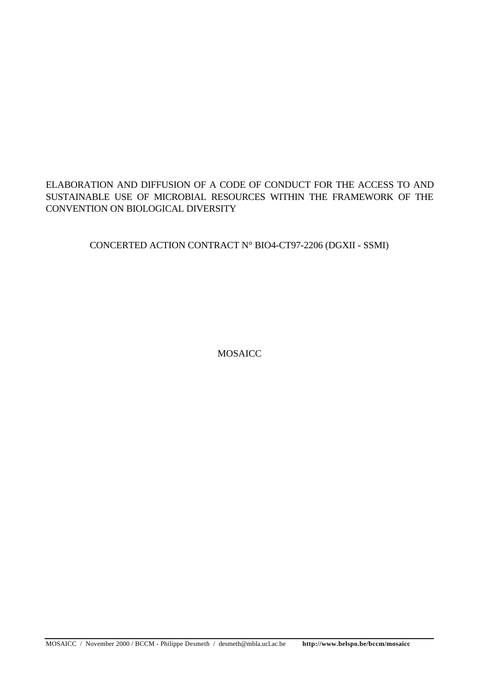## ELABORATION AND DIFFUSION OF A CODE OF CONDUCT FOR THE ACCESS TO AND SUSTAINABLE USE OF MICROBIAL RESOURCES WITHIN THE FRAMEWORK OF THE CONVENTION ON BIOLOGICAL DIVERSITY

CONCERTED ACTION CONTRACT N° BIO4-CT97-2206 (DGXII - SSMI)

MOSAICC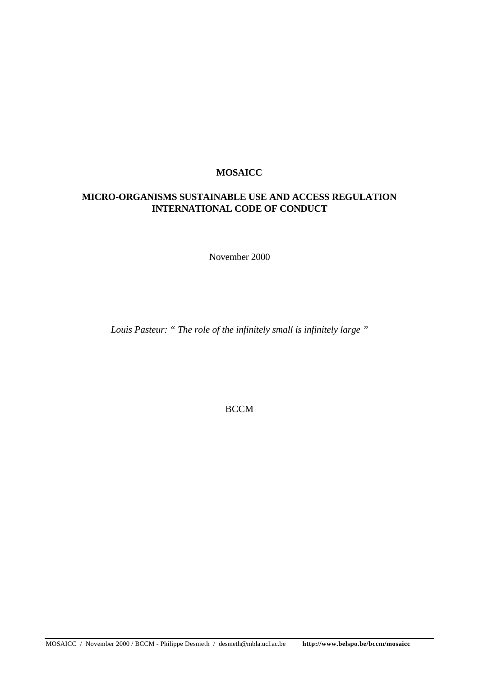## **MOSAICC**

## **MICRO-ORGANISMS SUSTAINABLE USE AND ACCESS REGULATION INTERNATIONAL CODE OF CONDUCT**

November 2000

*Louis Pasteur: " The role of the infinitely small is infinitely large "*

**BCCM**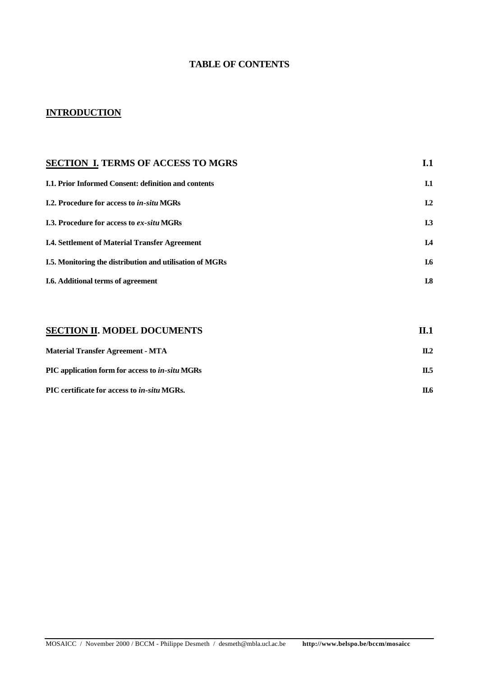## **TABLE OF CONTENTS**

# **INTRODUCTION**

| <b>SECTION I. TERMS OF ACCESS TO MGRS</b>                       | I.1            |
|-----------------------------------------------------------------|----------------|
| <b>I.1. Prior Informed Consent: definition and contents</b>     | I.1            |
| <b>I.2. Procedure for access to in-situ MGRs</b>                | L <sub>2</sub> |
| <b>I.3. Procedure for access to ex-situ MGRs</b>                | I.3            |
| <b>I.4. Settlement of Material Transfer Agreement</b>           | I.4            |
| <b>I.5.</b> Monitoring the distribution and utilisation of MGRs | I.6            |
| <b>I.6.</b> Additional terms of agreement                       | I.8            |
|                                                                 |                |
|                                                                 |                |

| <b>SECTION II. MODEL DOCUMENTS</b>                     | II.1     |
|--------------------------------------------------------|----------|
| <b>Material Transfer Agreement - MTA</b>               | $\Pi$ .2 |
| PIC application form for access to <i>in-situ</i> MGRs | Π.5      |
| PIC certificate for access to <i>in-situ</i> MGRs.     | П.6      |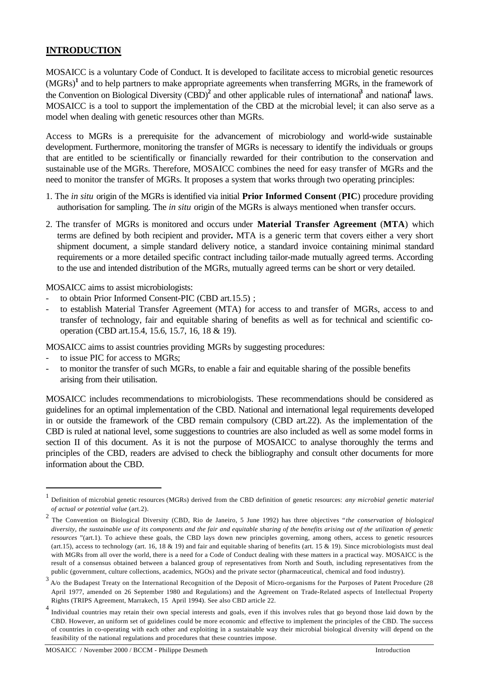## **INTRODUCTION**

MOSAICC is a voluntary Code of Conduct. It is developed to facilitate access to microbial genetic resources (MGRs)**<sup>1</sup>** and to help partners to make appropriate agreements when transferring MGRs, in the framework of the Convention on Biological Diversity (CBD)<sup>2</sup> and other applicable rules of international<sup>3</sup> and national<sup>4</sup> laws. MOSAICC is a tool to support the implementation of the CBD at the microbial level; it can also serve as a model when dealing with genetic resources other than MGRs.

Access to MGRs is a prerequisite for the advancement of microbiology and world-wide sustainable development. Furthermore, monitoring the transfer of MGRs is necessary to identify the individuals or groups that are entitled to be scientifically or financially rewarded for their contribution to the conservation and sustainable use of the MGRs. Therefore, MOSAICC combines the need for easy transfer of MGRs and the need to monitor the transfer of MGRs. It proposes a system that works through two operating principles:

- 1. The *in situ* origin of the MGRs is identified via initial **Prior Informed Consent** (**PIC**) procedure providing authorisation for sampling. The *in situ* origin of the MGRs is always mentioned when transfer occurs.
- 2. The transfer of MGRs is monitored and occurs under **Material Transfer Agreement** (**MTA**) which terms are defined by both recipient and provider**.** MTA is a generic term that covers either a very short shipment document, a simple standard delivery notice, a standard invoice containing minimal standard requirements or a more detailed specific contract including tailor-made mutually agreed terms. According to the use and intended distribution of the MGRs, mutually agreed terms can be short or very detailed.

MOSAICC aims to assist microbiologists:

- to obtain Prior Informed Consent-PIC (CBD art.15.5) ;
- to establish Material Transfer Agreement (MTA) for access to and transfer of MGRs, access to and transfer of technology, fair and equitable sharing of benefits as well as for technical and scientific cooperation (CBD art.15.4, 15.6, 15.7, 16, 18 & 19).

MOSAICC aims to assist countries providing MGRs by suggesting procedures:

to issue PIC for access to MGRs;

l

to monitor the transfer of such MGRs, to enable a fair and equitable sharing of the possible benefits arising from their utilisation.

MOSAICC includes recommendations to microbiologists. These recommendations should be considered as guidelines for an optimal implementation of the CBD. National and international legal requirements developed in or outside the framework of the CBD remain compulsory (CBD art.22). As the implementation of the CBD is ruled at national level, some suggestions to countries are also included as well as some model forms in section II of this document. As it is not the purpose of MOSAICC to analyse thoroughly the terms and principles of the CBD, readers are advised to check the bibliography and consult other documents for more information about the CBD.

<sup>1</sup> Definition of microbial genetic resources (MGRs) derived from the CBD definition of genetic resources: *any microbial genetic material of actual or potential value* (art.2).

<sup>2</sup> The Convention on Biological Diversity (CBD, Rio de Janeiro, 5 June 1992) has three objectives " *the conservation of biological diversity, the sustainable use of its components and the fair and equitable sharing of the benefits arising out of the utilization of genetic resources* "(art.1). To achieve these goals, the CBD lays down new principles governing, among others, access to genetic resources (art.15), access to technology (art. 16, 18 & 19) and fair and equitable sharing of benefits (art. 15 & 19). Since microbiologists must deal with MGRs from all over the world, there is a need for a Code of Conduct dealing with these matters in a practical way. MOSAICC is the result of a consensus obtained between a balanced group of representatives from North and South, including representatives from the public (government, culture collections, academics, NGOs) and the private sector (pharmaceutical, chemical and food industry).

 $3$  A/o the Budapest Treaty on the International Recognition of the Deposit of Micro-organisms for the Purposes of Patent Procedure (28 April 1977, amended on 26 September 1980 and Regulations) and the Agreement on Trade-Related aspects of Intellectual Property Rights (TRIPS Agreement, Marrakech, 15 April 1994). See also CBD article 22.

<sup>&</sup>lt;sup>4</sup> Individual countries may retain their own special interests and goals, even if this involves rules that go beyond those laid down by the CBD. However, an uniform set of guidelines could be more economic and effective to implement the principles of the CBD. The success of countries in co-operating with each other and exploiting in a sustainable way their microbial biological diversity will depend on the feasibility of the national regulations and procedures that these countries impose.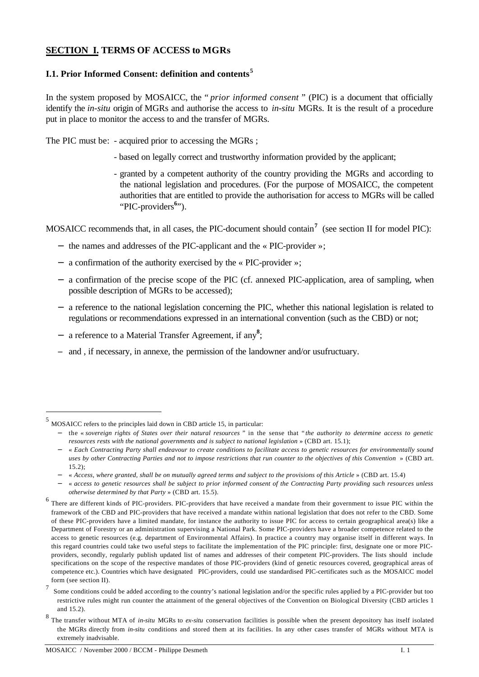## **SECTION I. TERMS OF ACCESS to MGRs**

### **I.1. Prior Informed Consent: definition and contents<sup>5</sup>**

In the system proposed by MOSAICC, the " *prior informed consent* " (PIC) is a document that officially identify the *in-situ* origin of MGRs and authorise the access to *in-situ* MGRs. It is the result of a procedure put in place to monitor the access to and the transfer of MGRs.

The PIC must be: - acquired prior to accessing the MGRs ;

- based on legally correct and trustworthy information provided by the applicant;
- granted by a competent authority of the country providing the MGRs and according to the national legislation and procedures. (For the purpose of MOSAICC, the competent authorities that are entitled to provide the authorisation for access to MGRs will be called "PIC-providers<sup>6</sup>").

MOSAICC recommends that, in all cases, the PIC-document should contain**<sup>7</sup>** (see section II for model PIC):

- − the names and addresses of the PIC-applicant and the « PIC-provider »;
- − a confirmation of the authority exercised by the « PIC-provider »;
- − a confirmation of the precise scope of the PIC (cf. annexed PIC-application, area of sampling, when possible description of MGRs to be accessed);
- − a reference to the national legislation concerning the PIC, whether this national legislation is related to regulations or recommendations expressed in an international convention (such as the CBD) or not;
- − a reference to a Material Transfer Agreement, if any**<sup>8</sup>** ;
- and, if necessary, in annexe, the permission of the landowner and/or usufructuary.

 $<sup>5</sup>$  MOSAICC refers to the principles laid down in CBD article 15, in particular:</sup>

<sup>−</sup> the « *sovereign rights of States over their natural resources "* in the sense that " *the authority to determine access to genetic resources rests with the national governments and is subject to national legislation* » (CBD art. 15.1);

<sup>−</sup> « *Each Contracting Party shall endeavour to create conditions to facilitate access to genetic resources for environmentally sound uses by other Contracting Parties and not to impose restrictions that run counter to the objectives of this Convention* » (CBD art. 15.2);

<sup>−</sup> « *Access, where granted, shall be on mutually agreed terms and subject to the provisions of this Article* » (CBD art. 15.4)

<sup>−</sup> « *access to genetic resources shall be subject to prior informed consent of the Contracting Party providing such resources unless otherwise determined by that Party* » (CBD art. 15.5).

<sup>&</sup>lt;sup>6</sup> There are different kinds of PIC-providers. PIC-providers that have received a mandate from their government to issue PIC within the framework of the CBD and PIC-providers that have received a mandate within national legislation that does not refer to the CBD. Some of these PIC-providers have a limited mandate, for instance the authority to issue PIC for access to certain geographical area(s) like a Department of Forestry or an administration supervising a National Park. Some PIC-providers have a broader competence related to the access to genetic resources (e.g. department of Environmental Affairs). In practice a country may organise itself in different ways. In this regard countries could take two useful steps to facilitate the implementation of the PIC principle: first, designate one or more PICproviders, secondly, regularly publish updated list of names and addresses of their competent PIC-providers. The lists should include specifications on the scope of the respective mandates of those PIC-providers (kind of genetic resources covered, geographical areas of competence etc.). Countries which have designated PIC-providers, could use standardised PIC-certificates such as the MOSAICC model form (see section II). 7

Some conditions could be added according to the country's national legislation and/or the specific rules applied by a PIC-provider but too restrictive rules might run counter the attainment of the general objectives of the Convention on Biological Diversity (CBD articles 1 and 15.2).

<sup>8</sup> The transfer without MTA of *in-situ* MGRs to *ex-situ* conservation facilities is possible when the present depository has itself isolated the MGRs directly from *in-situ* conditions and stored them at its facilities. In any other cases transfer of MGRs without MTA is extremely inadvisable.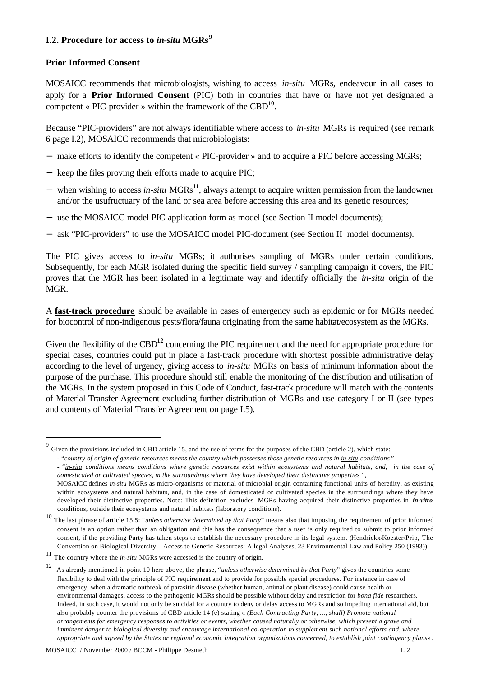### **I.2. Procedure for access to** *in-situ* **MGRs<sup>9</sup>**

### **Prior Informed Consent**

l

MOSAICC recommends that microbiologists, wishing to access *in-situ* MGRs, endeavour in all cases to apply for a **Prior Informed Consent** (PIC) both in countries that have or have not yet designated a competent « PIC-provider » within the framework of the CBD**<sup>10</sup>** .

Because "PIC-providers" are not always identifiable where access to *in-situ* MGRs is required (see remark 6 page I.2), MOSAICC recommends that microbiologists:

- − make efforts to identify the competent « PIC-provider » and to acquire a PIC before accessing MGRs;
- − keep the files proving their efforts made to acquire PIC;
- when wishing to access *in-situ* MGRs<sup>11</sup>, always attempt to acquire written permission from the landowner and/or the usufructuary of the land or sea area before accessing this area and its genetic resources;
- − use the MOSAICC model PIC-application form as model (see Section II model documents);
- − ask "PIC-providers" to use the MOSAICC model PIC-document (see Section II model documents).

The PIC gives access to *in-situ* MGRs; it authorises sampling of MGRs under certain conditions. Subsequently, for each MGR isolated during the specific field survey / sampling campaign it covers, the PIC proves that the MGR has been isolated in a legitimate way and identify officially the *in-situ* origin of the MGR.

A **fast-track procedure** should be available in cases of emergency such as epidemic or for MGRs needed for biocontrol of non-indigenous pests/flora/fauna originating from the same habitat/ecosystem as the MGRs.

Given the flexibility of the CBD<sup>12</sup> concerning the PIC requirement and the need for appropriate procedure for special cases, countries could put in place a fast-track procedure with shortest possible administrative delay according to the level of urgency, giving access to *in-situ* MGRs on basis of minimum information about the purpose of the purchase. This procedure should still enable the monitoring of the distribution and utilisation of the MGRs. In the system proposed in this Code of Conduct, fast-track procedure will match with the contents of Material Transfer Agreement excluding further distribution of MGRs and use-category I or II (see types and contents of Material Transfer Agreement on page I.5).

 $9\overline{9}$  Given the provisions included in CBD article 15, and the use of terms for the purposes of the CBD (article 2), which state:

<sup>- &</sup>quot;*country of origin of genetic resources means the country which possesses those genetic resources in in-situ conditions* "

<sup>- &</sup>quot;*in-situ conditions means conditions where genetic resources exist within ecosystems and natural habitats, and, in the case of domesticated or cultivated species, in the surroundings where they have developed their distinctive properties* ",

MOSAICC defines *in-situ* MGRs as micro-organisms or material of microbial origin containing functional units of heredity, as existing within ecosystems and natural habitats, and, in the case of domesticated or cultivated species in the surroundings where they have developed their distinctive properties. Note: This definition excludes MGRs having acquired their distinctive properties in *in-vitro* conditions, outside their ecosystems and natural habitats (laboratory conditions).

<sup>10</sup> The last phrase of article 15.5: "*unless otherwise determined by that Party*" means also that imposing the requirement of prior informed consent is an option rather than an obligation and this has the consequence that a user is only required to submit to prior informed consent, if the providing Party has taken steps to establish the necessary procedure in its legal system. (Hendrickx/Koester/Prip, The Convention on Biological Diversity – Access to Genetic Resources: A legal Analyses, 23 Environmental Law and Policy 250 (1993)).

<sup>11</sup> The country where the *in-situ* MGRs were accessed is the country of origin.

<sup>12</sup> As already mentioned in point 10 here above, the phrase, "*unless otherwise determined by that Party*" gives the countries some flexibility to deal with the principle of PIC requirement and to provide for possible special procedures. For instance in case of emergency, when a dramatic outbreak of parasitic disease (whether human, animal or plant disease) could cause health or environmental damages, access to the pathogenic MGRs should be possible without delay and restriction for *bona fide* researchers. Indeed, in such case, it would not only be suicidal for a country to deny or delay access to MGRs and so impeding international aid, but also probably counter the provisions of CBD article 14 (e) stating « *(Each Contracting Party, ..., shall) Promote national arrangements for emergency responses to activities or events, whether caused naturally or otherwise, which present a grave and imminent danger to biological diversity and encourage international co-operation to supplement such national efforts and, where appropriate and agreed by the States or regional economic integration organizations concerned, to establish joint contingency plans»*.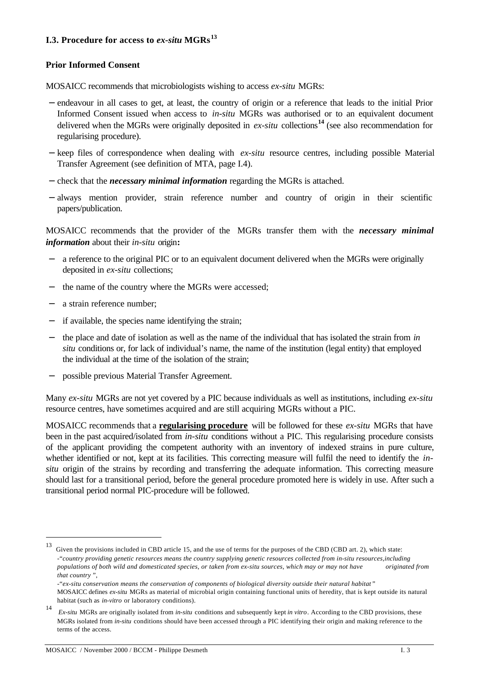### **I.3. Procedure for access to** *ex-situ* **MGRs<sup>13</sup>**

#### **Prior Informed Consent**

MOSAICC recommends that microbiologists wishing to access *ex-situ* MGRs:

- − endeavour in all cases to get, at least, the country of origin or a reference that leads to the initial Prior Informed Consent issued when access to *in-situ* MGRs was authorised or to an equivalent document delivered when the MGRs were originally deposited in *ex-situ* collections**<sup>14</sup>** (see also recommendation for regularising procedure).
- − keep files of correspondence when dealing with *ex-situ* resource centres, including possible Material Transfer Agreement (see definition of MTA, page I.4).
- − check that the *necessary minimal information* regarding the MGRs is attached.
- − always mention provider, strain reference number and country of origin in their scientific papers/publication.

MOSAICC recommends that the provider of the MGRs transfer them with the *necessary minimal information* about their *in-situ* origin**:**

- a reference to the original PIC or to an equivalent document delivered when the MGRs were originally deposited in *ex-situ* collections;
- − the name of the country where the MGRs were accessed;
- − a strain reference number;

l

- − if available, the species name identifying the strain;
- − the place and date of isolation as well as the name of the individual that has isolated the strain from *in situ* conditions or, for lack of individual's name, the name of the institution (legal entity) that employed the individual at the time of the isolation of the strain;
- − possible previous Material Transfer Agreement.

Many *ex-situ* MGRs are not yet covered by a PIC because individuals as well as institutions, including *ex-situ* resource centres, have sometimes acquired and are still acquiring MGRs without a PIC.

MOSAICC recommends that a **regularising procedure** will be followed for these *ex-situ* MGRs that have been in the past acquired/isolated from *in-situ* conditions without a PIC. This regularising procedure consists of the applicant providing the competent authority with an inventory of indexed strains in pure culture, whether identified or not, kept at its facilities. This correcting measure will fulfil the need to identify the *insitu* origin of the strains by recording and transferring the adequate information. This correcting measure should last for a transitional period, before the general procedure promoted here is widely in use. After such a transitional period normal PIC-procedure will be followed.

<sup>13</sup> Given the provisions included in CBD article 15, and the use of terms for the purposes of the CBD (CBD art. 2), which state: -"*country providing genetic resources means the country supplying genetic resources collected from in-situ resources,including populations of both wild and domesticated species, or taken from ex-situ sources, which may or may not have originated from that country* ",

<sup>-&</sup>quot;*ex-situ conservation means the conservation of components of biological diversity outside their natural habitat* " MOSAICC defines *ex-situ* MGRs as material of microbial origin containing functional units of heredity, that is kept outside its natural habitat (such as *in-vitro* or laboratory conditions).

<sup>14</sup> *Ex-situ* MGRs are originally isolated from *in-situ* conditions and subsequently kept *in vitro*. According to the CBD provisions, these MGRs isolated from *in-situ* conditions should have been accessed through a PIC identifying their origin and making reference to the terms of the access.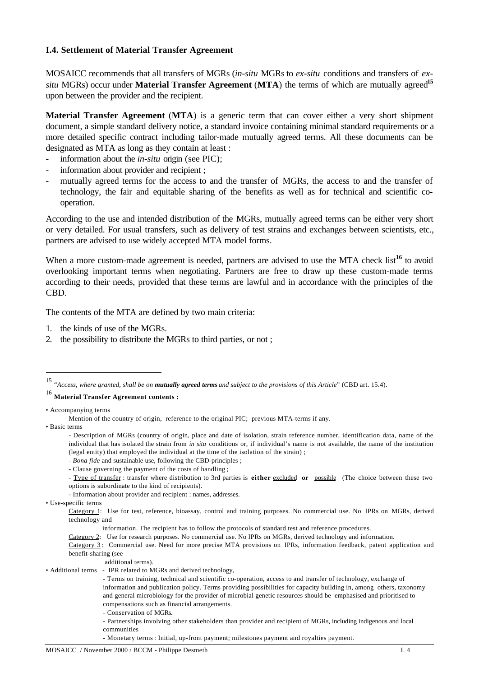#### **I.4. Settlement of Material Transfer Agreement**

MOSAICC recommends that all transfers of MGRs (*in-situ* MGRs to *ex-situ* conditions and transfers of *exsitu* MGRs) occur under **Material Transfer Agreement** (**MTA**) the terms of which are mutually agreed**<sup>15</sup>** upon between the provider and the recipient.

**Material Transfer Agreement** (**MTA**) is a generic term that can cover either a very short shipment document, a simple standard delivery notice, a standard invoice containing minimal standard requirements or a more detailed specific contract including tailor-made mutually agreed terms. All these documents can be designated as MTA as long as they contain at least :

- information about the *in-situ* origin (see PIC);
- information about provider and recipient;
- mutually agreed terms for the access to and the transfer of MGRs, the access to and the transfer of technology, the fair and equitable sharing of the benefits as well as for technical and scientific cooperation.

According to the use and intended distribution of the MGRs, mutually agreed terms can be either very short or very detailed. For usual transfers, such as delivery of test strains and exchanges between scientists, etc., partners are advised to use widely accepted MTA model forms.

When a more custom-made agreement is needed, partners are advised to use the MTA check list<sup>16</sup> to avoid overlooking important terms when negotiating. Partners are free to draw up these custom-made terms according to their needs, provided that these terms are lawful and in accordance with the principles of the CBD.

The contents of the MTA are defined by two main criteria:

- 1. the kinds of use of the MGRs.
- 2. the possibility to distribute the MGRs to third parties, or not ;

<sup>16</sup> **Material Transfer Agreement contents :**

• Basic terms

l

*- Bona fide* and sustainable use, following the CBD-principles ;

- Type of transfer : transfer where distribution to 3rd parties is **either** excluded **or** possible (The choice between these two options is subordinate to the kind of recipients).

- Information about provider and recipient : names, addresses.

• Use-specific terms

additional terms).

- Conservation of MGRs.

- Partnerships involving other stakeholders than provider and recipient of MGRs, including indigenous and local communities

- Monetary terms : Initial, up-front payment; milestones payment and royalties payment.

<sup>15</sup> "*Access, where granted, shall be on mutually agreed terms and subject to the provisions of this Article*" (CBD art. 15.4).

<sup>•</sup> Accompanying terms

Mention of the country of origin, reference to the original PIC; previous MTA-terms if any.

<sup>-</sup> Description of MGRs (country of origin, place and date of isolation, strain reference number, identification data, name of the individual that has isolated the strain from *in situ* conditions or, if individual's name is not available, the name of the institution (legal entity) that employed the individual at the time of the isolation of the strain) ;

<sup>-</sup> Clause governing the payment of the costs of handling ;

Category 1: Use for test, reference, bioassay, control and training purposes. No commercial use. No IPRs on MGRs, derived technology and

information. The recipient has to follow the protocols of standard test and reference procedures.

Category 2: Use for research purposes. No commercial use. No IPRs on MGRs, derived technology and information.

Category 3: Commercial use. Need for more precise MTA provisions on IPRs, information feedback, patent application and benefit-sharing (see

<sup>•</sup> Additional terms - IPR related to MGRs and derived technology,

<sup>-</sup> Terms on training, technical and scientific co-operation, access to and transfer of technology, exchange of information and publication policy. Terms providing possibilities for capacity building in, among others, taxonomy and general microbiology for the provider of microbial genetic resources should be emphasised and prioritised to compensations such as financial arrangements.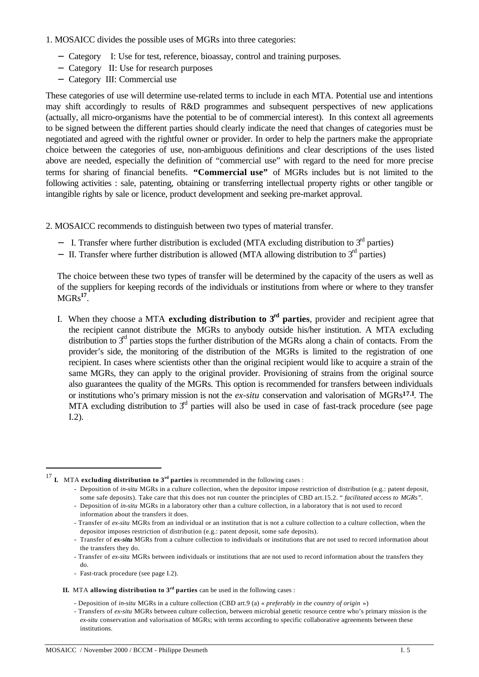1. MOSAICC divides the possible uses of MGRs into three categories:

- − Category I: Use for test, reference, bioassay, control and training purposes.
- − Category II: Use for research purposes
- − Category III: Commercial use

These categories of use will determine use-related terms to include in each MTA. Potential use and intentions may shift accordingly to results of R&D programmes and subsequent perspectives of new applications (actually, all micro-organisms have the potential to be of commercial interest). In this context all agreements to be signed between the different parties should clearly indicate the need that changes of categories must be negotiated and agreed with the rightful owner or provider. In order to help the partners make the appropriate choice between the categories of use, non-ambiguous definitions and clear descriptions of the uses listed above are needed, especially the definition of "commercial use" with regard to the need for more precise terms for sharing of financial benefits. **"Commercial use"** of MGRs includes but is not limited to the following activities : sale, patenting, obtaining or transferring intellectual property rights or other tangible or intangible rights by sale or licence, product development and seeking pre-market approval.

2. MOSAICC recommends to distinguish between two types of material transfer.

- − I. Transfer where further distribution is excluded (MTA excluding distribution to 3<sup>rd</sup> parties)
- − II. Transfer where further distribution is allowed (MTA allowing distribution to 3<sup>rd</sup> parties)

The choice between these two types of transfer will be determined by the capacity of the users as well as of the suppliers for keeping records of the individuals or institutions from where or where to they transfer MGRs**<sup>17</sup>** .

I. When they choose a MTA **excluding distribution to**  $3<sup>rd</sup>$  **parties**, provider and recipient agree that the recipient cannot distribute the MGRs to anybody outside his/her institution. A MTA excluding distribution to  $3<sup>rd</sup>$  parties stops the further distribution of the MGRs along a chain of contacts. From the provider's side, the monitoring of the distribution of the MGRs is limited to the registration of one recipient. In cases where scientists other than the original recipient would like to acquire a strain of the same MGRs, they can apply to the original provider. Provisioning of strains from the original source also guarantees the quality of the MGRs. This option is recommended for transfers between individuals or institutions who's primary mission is not the *ex-situ* conservation and valorisation of MGRs**17.I**. The MTA excluding distribution to  $3<sup>rd</sup>$  parties will also be used in case of fast-track procedure (see page I.2).

<sup>17</sup> **I.** MTA **excluding distribution to 3rd parties** is recommended in the following cases :

- Fast-track procedure (see page I.2).

- **II.** MTA **allowing distribution to 3rd parties** can be used in the following cases :
	- Deposition of *in-situ* MGRs in a culture collection (CBD art.9 (a) « *preferably in the country of origin* »)

<sup>-</sup> Deposition of *in-situ* MGRs in a culture collection, when the depositor impose restriction of distribution (e.g.: patent deposit, some safe deposits). Take care that this does not run counter the principles of CBD art.15.2. " *facilitated access to MGRs"*.

<sup>-</sup> Deposition of *in-situ* MGRs in a laboratory other than a culture collection, in a laboratory that is not used to record information about the transfers it does.

<sup>-</sup> Transfer of *ex-situ* MGRs from an individual or an institution that is not a culture collection to a culture collection, when the depositor imposes restriction of distribution (e.g.: patent deposit, some safe deposits).

<sup>-</sup> Transfer of *ex-situ* MGRs from a culture collection to individuals or institutions that are not used to record information about the transfers they do.

<sup>-</sup> Transfer of *ex-situ* MGRs between individuals or institutions that are not used to record information about the transfers they do.

<sup>-</sup> Transfers of *ex-situ* MGRs between culture collection, between microbial genetic resource centre who's primary mission is the *ex-situ* conservation and valorisation of MGRs; with terms according to specific collaborative agreements between these institutions.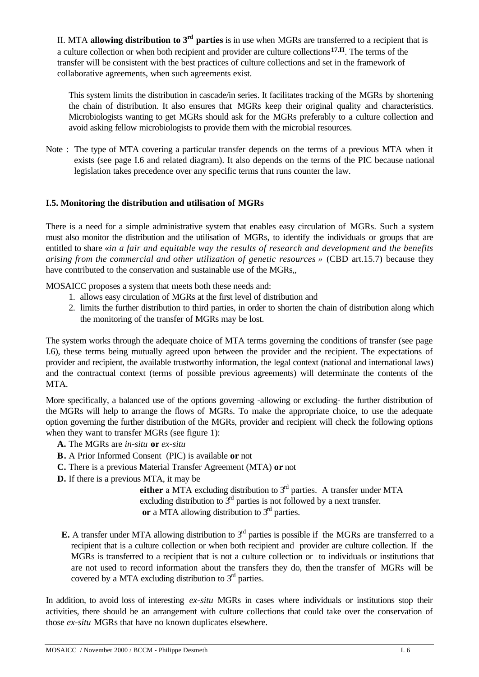II. MTA **allowing distribution to 3rd parties** is in use when MGRs are transferred to a recipient that is a culture collection or when both recipient and provider are culture collections**17.II**. The terms of the transfer will be consistent with the best practices of culture collections and set in the framework of collaborative agreements, when such agreements exist.

This system limits the distribution in cascade/in series. It facilitates tracking of the MGRs by shortening the chain of distribution. It also ensures that MGRs keep their original quality and characteristics. Microbiologists wanting to get MGRs should ask for the MGRs preferably to a culture collection and avoid asking fellow microbiologists to provide them with the microbial resources.

Note : The type of MTA covering a particular transfer depends on the terms of a previous MTA when it exists (see page I.6 and related diagram). It also depends on the terms of the PIC because national legislation takes precedence over any specific terms that runs counter the law.

### **I.5. Monitoring the distribution and utilisation of MGRs**

There is a need for a simple administrative system that enables easy circulation of MGRs. Such a system must also monitor the distribution and the utilisation of MGRs, to identify the individuals or groups that are entitled to share «*in a fair and equitable way the results of research and development and the benefits arising from the commercial and other utilization of genetic resources »* (CBD art.15.7) because they have contributed to the conservation and sustainable use of the MGRs,,

MOSAICC proposes a system that meets both these needs and:

- 1. allows easy circulation of MGRs at the first level of distribution and
- 2. limits the further distribution to third parties, in order to shorten the chain of distribution along which the monitoring of the transfer of MGRs may be lost.

The system works through the adequate choice of MTA terms governing the conditions of transfer (see page I.6), these terms being mutually agreed upon between the provider and the recipient. The expectations of provider and recipient, the available trustworthy information, the legal context (national and international laws) and the contractual context (terms of possible previous agreements) will determinate the contents of the MTA.

More specifically, a balanced use of the options governing -allowing or excluding- the further distribution of the MGRs will help to arrange the flows of MGRs. To make the appropriate choice, to use the adequate option governing the further distribution of the MGRs, provider and recipient will check the following options when they want to transfer MGRs (see figure 1):

- **A.** The MGRs are *in-situ* **or** *ex-situ*
- **B.** A Prior Informed Consent (PIC) is available **or** not
- **C.** There is a previous Material Transfer Agreement (MTA) **or** not
- **D.** If there is a previous MTA, it may be

**either** a MTA excluding distribution to 3<sup>rd</sup> parties. A transfer under MTA excluding distribution to  $\tilde{3}^{rd}$  parties is not followed by a next transfer. or a MTA allowing distribution to  $3<sup>rd</sup>$  parties.

**E.** A transfer under MTA allowing distribution to  $3<sup>rd</sup>$  parties is possible if the MGRs are transferred to a recipient that is a culture collection or when both recipient and provider are culture collection. Ifthe MGRs is transferred to a recipient that is not a culture collection or to individuals or institutions that are not used to record information about the transfers they do, then the transfer of MGRs will be covered by a MTA excluding distribution to  $3<sup>rd</sup>$  parties.

In addition, to avoid loss of interesting *ex-situ* MGRs in cases where individuals or institutions stop their activities, there should be an arrangement with culture collections that could take over the conservation of those *ex-situ* MGRs that have no known duplicates elsewhere.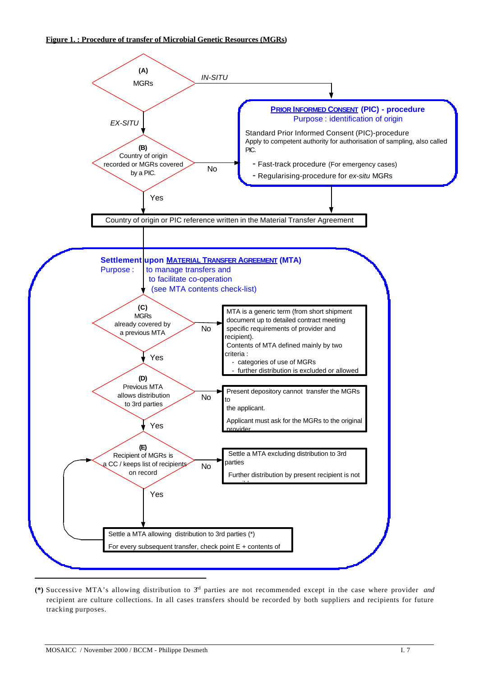

**<sup>(\*)</sup>** Successive MTA's allowing distribution to 3rd parties are not recommended except in the case where provider *and* recipient are culture collections. In all cases transfers should be recorded by both suppliers and recipients for future tracking purposes.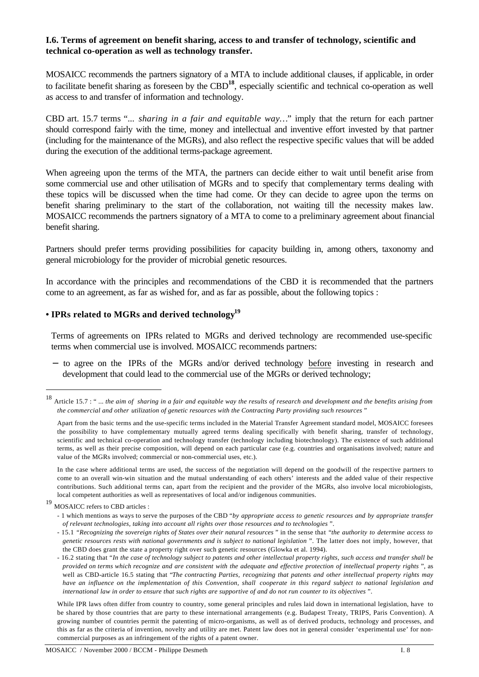#### **I.6. Terms of agreement on benefit sharing, access to and transfer of technology, scientific and technical co-operation as well as technology transfer.**

MOSAICC recommends the partners signatory of a MTA to include additional clauses, if applicable, in order to facilitate benefit sharing as foreseen by the CBD**<sup>18</sup>**, especially scientific and technical co-operation as well as access to and transfer of information and technology.

CBD art. 15.7 terms "... *sharing in a fair and equitable way…*" imply that the return for each partner should correspond fairly with the time, money and intellectual and inventive effort invested by that partner (including for the maintenance of the MGRs), and also reflect the respective specific values that will be added during the execution of the additional terms-package agreement.

When agreeing upon the terms of the MTA, the partners can decide either to wait until benefit arise from some commercial use and other utilisation of MGRs and to specify that complementary terms dealing with these topics will be discussed when the time had come. Or they can decide to agree upon the terms on benefit sharing preliminary to the start of the collaboration, not waiting till the necessity makes law. MOSAICC recommends the partners signatory of a MTA to come to a preliminary agreement about financial benefit sharing.

Partners should prefer terms providing possibilities for capacity building in, among others, taxonomy and general microbiology for the provider of microbial genetic resources.

In accordance with the principles and recommendations of the CBD it is recommended that the partners come to an agreement, as far as wished for, and as far as possible, about the following topics :

### **• IPRs related to MGRs and derived technology<sup>19</sup>**

Terms of agreements on IPRs related to MGRs and derived technology are recommended use-specific terms when commercial use is involved. MOSAICC recommends partners:

− to agree on the IPRs of the MGRs and/or derived technology before investing in research and development that could lead to the commercial use of the MGRs or derived technology;

<sup>18</sup> Article 15.7 : " ... *the aim of sharing in a fair and equitable way the results of research and development and the benefits arising from the commercial and other utilization of genetic resources with the Contracting Party providing such resources* "

Apart from the basic terms and the use-specific terms included in the Material Transfer Agreement standard model, MOSAICC foresees the possibility to have complementary mutually agreed terms dealing specifically with benefit sharing, transfer of technology, scientific and technical co-operation and technology transfer (technology including biotechnology). The existence of such additional terms, as well as their precise composition, will depend on each particular case (e.g. countries and organisations involved; nature and value of the MGRs involved; commercial or non-commercial uses, etc.).

In the case where additional terms are used, the success of the negotiation will depend on the goodwill of the respective partners to come to an overall win-win situation and the mutual understanding of each others' interests and the added value of their respective contributions. Such additional terms can, apart from the recipient and the provider of the MGRs, also involve local microbiologists, local competent authorities as well as representatives of local and/or indigenous communities.

<sup>19</sup> MOSAICC refers to CBD articles :

<sup>- 1</sup> which mentions as ways to serve the purposes of the CBD "*by appropriate access to genetic resources and by appropriate transfer of relevant technologies, taking into account all rights over those resources and to technologies* ".

<sup>- 15.1</sup> *"Recognizing the sovereign rights of States over their natural resources* " in the sense that "*the authority to determine access to genetic resources rests with national governments and is subject to national legislation* ". The latter does not imply, however, that the CBD does grant the state a property right over such genetic resources (Glowka et al. 1994).

<sup>- 16.2</sup> stating that "*In the case of technology subject to patents and other intellectual property rights, such access and transfer shall be provided on terms which recognize and are consistent with the adequate and effective protection of intellectual property rights* ", as well as CBD-article 16.5 stating that "*The contracting Parties, recognizing that patents and other intellectual property rights may have an influence on the implementation of this Convention, shall cooperate in this regard subject to national legislation and international law in order to ensure that such rights are supportive of and do not run counter to its objectives* ".

While IPR laws often differ from country to country, some general principles and rules laid down in international legislation, have to be shared by those countries that are party to these international arrangements (e.g. Budapest Treaty, TRIPS, Paris Convention). A growing number of countries permit the patenting of micro-organisms, as well as of derived products, technology and processes, and this as far as the criteria of invention, novelty and utility are met. Patent law does not in general consider 'experimental use' for noncommercial purposes as an infringement of the rights of a patent owner.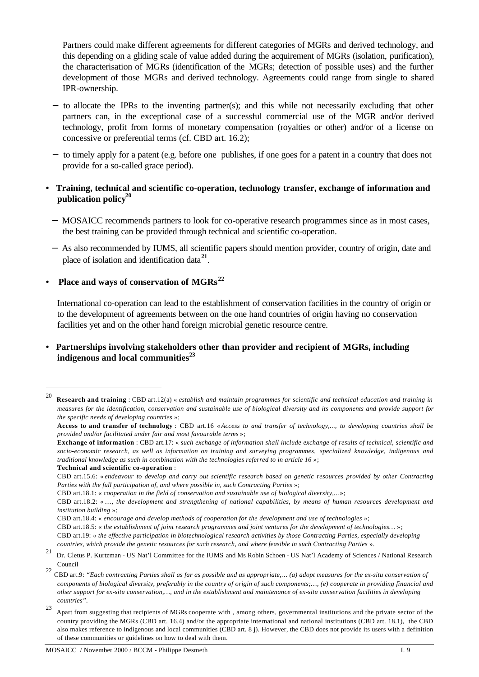Partners could make different agreements for different categories of MGRs and derived technology, and this depending on a gliding scale of value added during the acquirement of MGRs (isolation, purification), the characterisation of MGRs (identification of the MGRs; detection of possible uses) and the further development of those MGRs and derived technology. Agreements could range from single to shared IPR-ownership.

- − to allocate the IPRs to the inventing partner(s); and this while not necessarily excluding that other partners can, in the exceptional case of a successful commercial use of the MGR and/or derived technology, profit from forms of monetary compensation (royalties or other) and/or of a license on concessive or preferential terms (cf. CBD art. 16.2);
- − to timely apply for a patent (e.g. before one publishes, if one goes for a patent in a country that does not provide for a so-called grace period).
- **• Training, technical and scientific co-operation, technology transfer, exchange of information and publication policy<sup>20</sup>**
	- − MOSAICC recommends partners to look for co-operative research programmes since as in most cases, the best training can be provided through technical and scientific co-operation.
	- − As also recommended by IUMS, all scientific papers should mention provider, country of origin, date and place of isolation and identification data**<sup>21</sup>** .

#### **• Place and ways of conservation of MGRs<sup>22</sup>**

International co-operation can lead to the establishment of conservation facilities in the country of origin or to the development of agreements between on the one hand countries of origin having no conservation facilities yet and on the other hand foreign microbial genetic resource centre.

### **• Partnerships involving stakeholders other than provider and recipient of MGRs, including indigenous and local communities<sup>23</sup>**

<sup>20</sup> **Research and training** : CBD art.12(a) « *establish and maintain programmes for scientific and technical education and training in measures for the identification, conservation and sustainable use of biological diversity and its components and provide support for the specific needs of developing countries* »;

**Access to and transfer of technology** : CBD art.16 «*Access to and transfer of technology,..., to developing countries shall be provided and/or facilitated under fair and most favourable terms* »;

**Exchange of information** : CBD art.17: « *such exchange of information shall include exchange of results of technical, scientific and socio-economic research, as well as information on training and surveying programmes, specialized knowledge, indigenous and traditional knowledge as such in combination with the technologies referred to in article 16* »;

**Technical and scientific co-operation** :

CBD art.15.6: « *endeavour to develop and carry out scientific research based on genetic resources provided by other Contracting Parties with the full participation of, and where possible in, such Contracting Parties* »;

CBD art.18.1: « *cooperation in the field of conservation and sustainable use of biological diversity,…*»;

CBD art.18.2: « …, *the development and strengthening of national capabilities, by means of human resources development and institution building* »;

CBD art.18.4: « *encourage and develop methods of cooperation for the development and use of technologies* »;

CBD art.18.5: « *the establishment of joint research programmes and joint ventures for the development of technologies…* »;

CBD art.19: « *the effective participation in biotechnological research activities by those Contracting Parties, especially developing countries, which provide the genetic resources for such research, and where feasible in such Contracting Parties* ».

<sup>21</sup> Dr. Cletus P. Kurtzman - US Nat'l Committee for the IUMS and Ms Robin Schoen - US Nat'l Academy of Sciences / National Research Council

<sup>22</sup> CBD art.9: *"Each contracting Parties shall as far as possible and as appropriate,… (a) adopt measures for the ex-situ conservation of components of biological diversity, preferably in the country of origin of such components;…, (e) cooperate in providing financial and other support for ex-situ conservation,…, and in the establishment and maintenance of ex-situ conservation facilities in developing countries".*

<sup>23</sup> Apart from suggesting that recipients of MGRs cooperate with , among others, governmental institutions and the private sector of the country providing the MGRs (CBD art. 16.4) and/or the appropriate international and national institutions (CBD art. 18.1), the CBD also makes reference to indigenous and local communities (CBD art. 8 j). However, the CBD does not provide its users with a definition of these communities or guidelines on how to deal with them.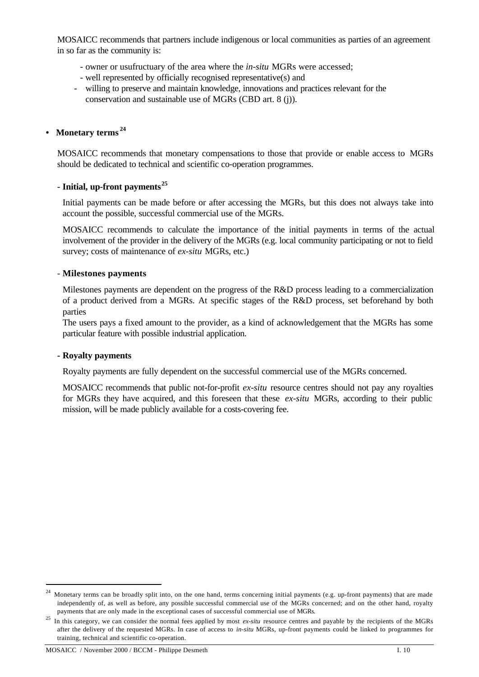MOSAICC recommends that partners include indigenous or local communities as parties of an agreement in so far as the community is:

- owner or usufructuary of the area where the *in-situ* MGRs were accessed;
- well represented by officially recognised representative(s) and
- willing to preserve and maintain knowledge, innovations and practices relevant for the conservation and sustainable use of MGRs (CBD art. 8 (j)).

#### **• Monetary terms <sup>24</sup>**

MOSAICC recommends that monetary compensations to those that provide or enable access to MGRs should be dedicated to technical and scientific co-operation programmes.

#### **- Initial, up-front payments<sup>25</sup>**

Initial payments can be made before or after accessing the MGRs, but this does not always take into account the possible, successful commercial use of the MGRs.

MOSAICC recommends to calculate the importance of the initial payments in terms of the actual involvement of the provider in the delivery of the MGRs (e.g. local community participating or not to field survey; costs of maintenance of *ex-situ* MGRs, etc.)

#### - **Milestones payments**

Milestones payments are dependent on the progress of the R&D process leading to a commercialization of a product derived from a MGRs. At specific stages of the R&D process, set beforehand by both parties

The users pays a fixed amount to the provider, as a kind of acknowledgement that the MGRs has some particular feature with possible industrial application.

#### **- Royalty payments**

Royalty payments are fully dependent on the successful commercial use of the MGRs concerned.

MOSAICC recommends that public not-for-profit *ex-situ* resource centres should not pay any royalties for MGRs they have acquired, and this foreseen that these *ex-situ* MGRs, according to their public mission, will be made publicly available for a costs-covering fee.

<sup>24</sup> Monetary terms can be broadly split into, on the one hand, terms concerning initial payments (e.g. up-front payments) that are made independently of, as well as before, any possible successful commercial use of the MGRs concerned; and on the other hand, royalty payments that are only made in the exceptional cases of successful commercial use of MGRs.

<sup>&</sup>lt;sup>25</sup> In this category, we can consider the normal fees applied by most *ex-situ* resource centres and payable by the recipients of the MGRs after the delivery of the requested MGRs. In case of access to *in-situ* MGRs, up-front payments could be linked to programmes for training, technical and scientific co-operation.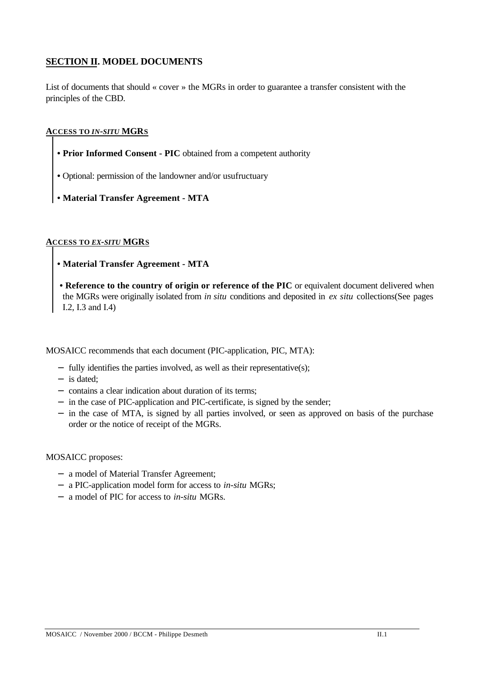### **SECTION II. MODEL DOCUMENTS**

List of documents that should « cover » the MGRs in order to guarantee a transfer consistent with the principles of the CBD.

#### **ACCESS TO** *IN-SITU* **MGRS**

- **Prior Informed Consent PIC** obtained from a competent authority
- Optional: permission of the landowner and/or usufructuary
- **Material Transfer Agreement MTA**

#### **ACCESS TO** *EX-SITU* **MGRS**

- **Material Transfer Agreement MTA**
- **Reference to the country of origin or reference of the PIC** or equivalent document delivered when the MGRs were originally isolated from *in situ* conditions and deposited in *ex situ* collections(See pages I.2, I.3 and I.4)

MOSAICC recommends that each document (PIC-application, PIC, MTA):

- − fully identifies the parties involved, as well as their representative(s);
- − is dated;
- − contains a clear indication about duration of its terms;
- − in the case of PIC-application and PIC-certificate, is signed by the sender;
- − in the case of MTA, is signed by all parties involved, or seen as approved on basis of the purchase order or the notice of receipt of the MGRs.

#### MOSAICC proposes:

- − a model of Material Transfer Agreement;
- − a PIC-application model form for access to *in-situ* MGRs;
- − a model of PIC for access to *in-situ* MGRs.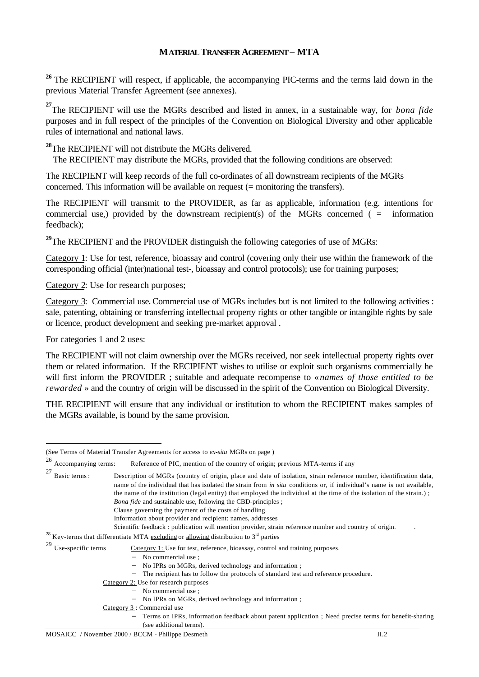### **MATERIAL TRANSFER AGREEMENT – MTA**

<sup>26</sup> The RECIPIENT will respect, if applicable, the accompanying PIC-terms and the terms laid down in the previous Material Transfer Agreement (see annexes).

**27** The RECIPIENT will use the MGRs described and listed in annex, in a sustainable way, for *bona fide* purposes and in full respect of the principles of the Convention on Biological Diversity and other applicable rules of international and national laws.

**<sup>28</sup>**The RECIPIENT will not distribute the MGRs delivered.

The RECIPIENT may distribute the MGRs, provided that the following conditions are observed:

The RECIPIENT will keep records of the full co-ordinates of all downstream recipients of the MGRs concerned. This information will be available on request (= monitoring the transfers).

The RECIPIENT will transmit to the PROVIDER, as far as applicable, information (e.g. intentions for commercial use,) provided by the downstream recipient(s) of the MGRs concerned  $($  = information feedback);

<sup>29</sup>The RECIPIENT and the PROVIDER distinguish the following categories of use of MGRs:

Category 1: Use for test, reference, bioassay and control (covering only their use within the framework of the corresponding official (inter)national test-, bioassay and control protocols); use for training purposes;

Category 2: Use for research purposes;

Category 3: Commercial use**.** Commercial use of MGRs includes but is not limited to the following activities : sale, patenting, obtaining or transferring intellectual property rights or other tangible or intangible rights by sale or licence, product development and seeking pre-market approval .

For categories 1 and 2 uses:

l

The RECIPIENT will not claim ownership over the MGRs received, nor seek intellectual property rights over them or related information. If the RECIPIENT wishes to utilise or exploit such organisms commercially he will first inform the PROVIDER ; suitable and adequate recompense to « *names of those entitled to be rewarded* » and the country of origin will be discussed in the spirit of the Convention on Biological Diversity.

THE RECIPIENT will ensure that any individual or institution to whom the RECIPIENT makes samples of the MGRs available, is bound by the same provision.

<sup>26</sup> Accompanying terms: Reference of PIC, mention of the country of origin; previous MTA-terms if any  $27$  Basic terms : Description of MGRs (country of origin, place and date of isolation, strain reference number, identification data, name of the individual that has isolated the strain from *in situ* conditions or, if individual's name is not available, the name of the institution (legal entity) that employed the individual at the time of the isolation of the strain.) ; *Bona fide* and sustainable use, following the CBD-principles ; Clause governing the payment of the costs of handling. Information about provider and recipient: names, addresses Scientific feedback : publication will mention provider, strain reference number and country of origin. <sup>28</sup> Key-terms that differentiate MTA excluding or allowing distribution to  $3<sup>nd</sup>$  parties <sup>29</sup> Use-specific terms  $\frac{\text{Category 1:}}{\text{Use for test, reference, bioassay, control and training purposes.}}$ − No commercial use ; − No IPRs on MGRs, derived technology and information ; − The recipient has to follow the protocols of standard test and reference procedure. Category 2: Use for research purposes − No commercial use ; − No IPRs on MGRs, derived technology and information ; Category 3 : Commercial use − Terms on IPRs, information feedback about patent application ; Need precise terms for benefit-sharing (see additional terms).

<sup>(</sup>See Terms of Material Transfer Agreements for access to *ex-situ* MGRs on page )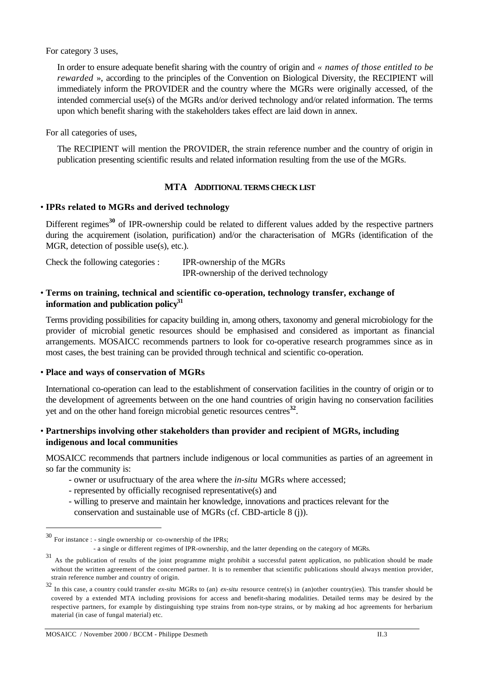For category 3 uses,

In order to ensure adequate benefit sharing with the country of origin and *« names of those entitled to be rewarded* », according to the principles of the Convention on Biological Diversity, the RECIPIENT will immediately inform the PROVIDER and the country where the MGRs were originally accessed, of the intended commercial use(s) of the MGRs and/or derived technology and/or related information. The terms upon which benefit sharing with the stakeholders takes effect are laid down in annex.

For all categories of uses,

The RECIPIENT will mention the PROVIDER, the strain reference number and the country of origin in publication presenting scientific results and related information resulting from the use of the MGRs.

#### **MTA ADDITIONAL TERMS CHECK LIST**

#### • **IPRs related to MGRs and derived technology**

Different regimes<sup>30</sup> of IPR-ownership could be related to different values added by the respective partners during the acquirement (isolation, purification) and/or the characterisation of MGRs (identification of the MGR, detection of possible use(s), etc.).

| Check the following categories : | IPR-ownership of the MGRs               |
|----------------------------------|-----------------------------------------|
|                                  | IPR-ownership of the derived technology |

#### • **Terms on training, technical and scientific co-operation, technology transfer, exchange of information and publication policy<sup>31</sup>**

Terms providing possibilities for capacity building in, among others, taxonomy and general microbiology for the provider of microbial genetic resources should be emphasised and considered as important as financial arrangements. MOSAICC recommends partners to look for co-operative research programmes since as in most cases, the best training can be provided through technical and scientific co-operation.

#### • **Place and ways of conservation of MGRs**

International co-operation can lead to the establishment of conservation facilities in the country of origin or to the development of agreements between on the one hand countries of origin having no conservation facilities yet and on the other hand foreign microbial genetic resources centres**<sup>32</sup>** .

### • **Partnerships involving other stakeholders than provider and recipient of MGRs, including indigenous and local communities**

MOSAICC recommends that partners include indigenous or local communities as parties of an agreement in so far the community is:

- owner or usufructuary of the area where the *in-situ* MGRs where accessed;
- represented by officially recognised representative(s) and
- willing to preserve and maintain her knowledge, innovations and practices relevant for the conservation and sustainable use of MGRs (cf. CBD-article 8 (j)).

<sup>30</sup> For instance : - single ownership or co-ownership of the IPRs;

 <sup>-</sup> a single or different regimes of IPR-ownership, and the latter depending on the category of MGRs.

<sup>&</sup>lt;sup>31</sup> As the publication of results of the joint programme might prohibit a successful patent application, no publication should be made without the written agreement of the concerned partner. It is to remember that scientific publications should always mention provider, strain reference number and country of origin.

<sup>32</sup> In this case, a country could transfer *ex-situ* MGRs to (an) *ex-situ* resource centre(s) in (an)other country(ies). This transfer should be covered by a extended MTA including provisions for access and benefit-sharing modalities. Detailed terms may be desired by the respective partners, for example by distinguishing type strains from non-type strains, or by making ad hoc agreements for herbarium material (in case of fungal material) etc.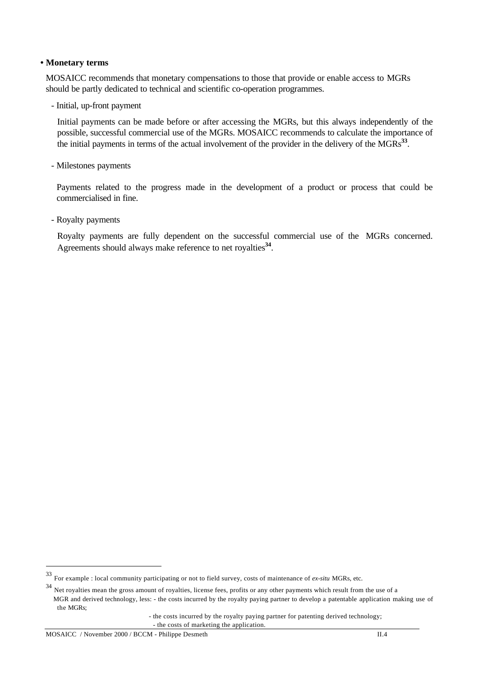#### **• Monetary terms**

MOSAICC recommends that monetary compensations to those that provide or enable access to MGRs should be partly dedicated to technical and scientific co-operation programmes.

- Initial, up-front payment

Initial payments can be made before or after accessing the MGRs, but this always independently of the possible, successful commercial use of the MGRs. MOSAICC recommends to calculate the importance of the initial payments in terms of the actual involvement of the provider in the delivery of the MGRs<sup>33</sup>.

- Milestones payments

Payments related to the progress made in the development of a product or process that could be commercialised in fine.

- Royalty payments

Royalty payments are fully dependent on the successful commercial use of the MGRs concerned. Agreements should always make reference to net royalties**<sup>34</sup>** .

<sup>33</sup> For example : local community participating or not to field survey, costs of maintenance of *ex-situ* MGRs, etc.

<sup>&</sup>lt;sup>34</sup> Net royalties mean the gross amount of royalties, license fees, profits or any other payments which result from the use of a MGR and derived technology, less: - the costs incurred by the royalty paying partner to develop a patentable application making use of the MGRs;

 <sup>-</sup> the costs incurred by the royalty paying partner for patenting derived technology; - the costs of marketing the application.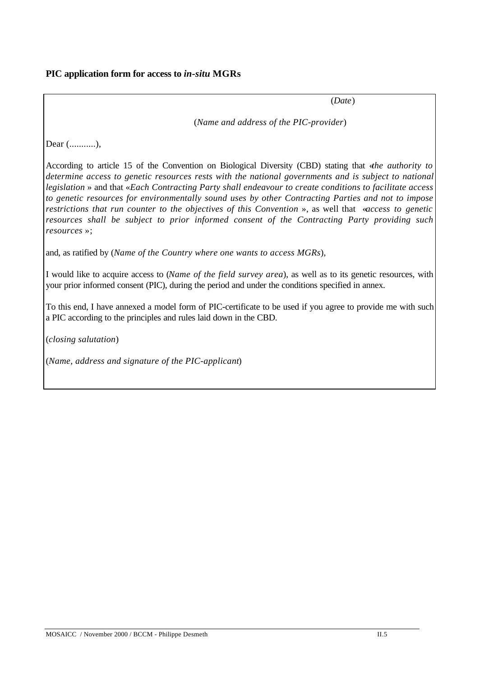(*Date*)

(*Name and address of the PIC-provider*)

Dear (...........),

According to article 15 of the Convention on Biological Diversity (CBD) stating that «*the authority to determine access to genetic resources rests with the national governments and is subject to national legislation* » and that «*Each Contracting Party shall endeavour to create conditions to facilitate access to genetic resources for environmentally sound uses by other Contracting Parties and not to impose restrictions that run counter to the objectives of this Convention* », as well that «*access to genetic resources shall be subject to prior informed consent of the Contracting Party providing such resources* »;

and, as ratified by (*Name of the Country where one wants to access MGRs*),

I would like to acquire access to (*Name of the field survey area*), as well as to its genetic resources, with your prior informed consent (PIC), during the period and under the conditions specified in annex.

To this end, I have annexed a model form of PIC-certificate to be used if you agree to provide me with such a PIC according to the principles and rules laid down in the CBD.

(*closing salutation*)

(*Name, address and signature of the PIC-applicant*)